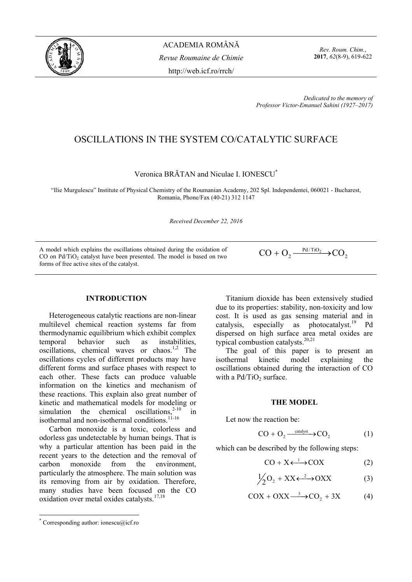

ACADEMIA ROMÂNĂ *Revue Roumaine de Chimie*  http://web.icf.ro/rrch/

*Rev. Roum. Chim.*, **2017**, *62*(8-9), 619-622

*Dedicated to the memory of Professor Victor-Emanuel Sahini (1927–2017)*

# OSCILLATIONS IN THE SYSTEM CO/CATALYTIC SURFACE

Veronica BRĂTAN and Niculae I. IONESCU\*

"Ilie Murgulescu" Institute of Physical Chemistry of the Roumanian Academy, 202 Spl. Independentei, 060021 - Bucharest, Romania, Phone/Fax (40-21) 312 1147

*Received December 22, 2016* 

A model which explains the oscillations obtained during the oxidation of CO on Pd/TiO<sub>2</sub> catalyst have been presented. The model is based on two forms of free active sites of the catalyst.

 $CO + O_2 \xrightarrow{\text{Pd/TiO}_2} CO$ 

# **INTRODUCTION\***

Heterogeneous catalytic reactions are non-linear multilevel chemical reaction systems far from thermodynamic equilibrium which exhibit complex temporal behavior such as instabilities, oscillations, chemical waves or chaos.<sup>1,2</sup> The oscillations cycles of different products may have different forms and surface phases with respect to each other. These facts can produce valuable information on the kinetics and mechanism of these reactions. This explain also great number of kinetic and mathematical models for modeling or simulation the chemical oscillations.<sup>2-10</sup> in isothermal and non-isothermal conditions.<sup>11-16</sup>

Carbon monoxide is a toxic, colorless and odorless gas undetectable by human beings. That is why a particular attention has been paid in the recent years to the detection and the removal of carbon monoxide from the environment particularly the atmosphere. The main solution was its removing from air by oxidation. Therefore, many studies have been focused on the CO oxidation over metal oxides catalysts.<sup>17,18</sup>

Titanium dioxide has been extensively studied due to its properties: stability, non-toxicity and low cost. It is used as gas sensing material and in catalysis, especially as photocatalyst.<sup>19</sup> Pd dispersed on high surface area metal oxides are typical combustion catalysts.<sup>20,21</sup>

The goal of this paper is to present an isothermal kinetic model explaining the oscillations obtained during the interaction of CO with a  $Pd/TiO<sub>2</sub>$  surface.

### **THE MODEL**

Let now the reaction be:

$$
CO + O_2 \xrightarrow{\text{catalyst}} CO_2 \tag{1}
$$

which can be described by the following steps:

$$
CO + X \longleftrightarrow COX \tag{2}
$$

$$
\frac{1}{2}O_2 + XX \xleftarrow{2} -OXX \tag{3}
$$

$$
COX + OXX \xrightarrow{3} CO_2 + 3X \tag{4}
$$

 \* Corresponding author: ionescu@icf.ro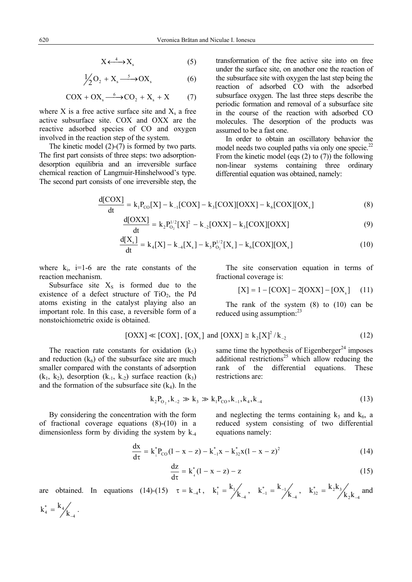$$
X \xleftarrow{4} X_s \tag{5}
$$

$$
\frac{1}{2}O_2 + X_s \xrightarrow{5} OX_s \tag{6}
$$

$$
COX + OX_s \xrightarrow{6} CO_2 + X_s + X \tag{7}
$$

where X is a free active surface site and  $X_s$  a free active subsurface site. COX and OXX are the reactive adsorbed species of CO and oxygen involved in the reaction step of the system.

The kinetic model (2)-(7) is formed by two parts. The first part consists of three steps: two adsorptiondesorption equilibria and an irreversible surface chemical reaction of Langmuir-Hinshelwood's type. The second part consists of one irreversible step, the transformation of the free active site into on free under the surface site, on another one the reaction of the subsurface site with oxygen the last step being the reaction of adsorbed CO with the adsorbed subsurface oxygen. The last three steps describe the periodic formation and removal of a subsurface site in the course of the reaction with adsorbed CO molecules. The desorption of the products was assumed to be a fast one.

In order to obtain an oscillatory behavior the model needs two coupled paths via only one specie.<sup>22</sup> From the kinetic model (eqs (2) to (7)) the following non-linear systems containing three ordinary differential equation was obtained, namely:

$$
\frac{d[COX]}{dt} = k_1 P_{CO}[X] - k_{-1}[COX] - k_3[COX][OXX] - k_6[COX][OX_s]
$$
\n(8)

$$
\frac{d[OXX]}{dt} = k_2 P_{0_2}^{1/2} [X]^2 - k_{-2} [OXX] - k_3 [COX][OXX]
$$
\n(9)

$$
\frac{d[X_s]}{dt} = k_4[X] - k_{-4}[X_s] - k_5 P_{0_2}^{1/2}[X_s] - k_6[COX][OX_s]
$$
\n(10)

where  $k_i$ , i=1-6 are the rate constants of the reaction mechanism.

Subsurface site  $X<sub>S</sub>$  is formed due to the existence of a defect structure of  $TiO<sub>2</sub>$ , the Pd atoms existing in the catalyst playing also an important role. In this case, a reversible form of a nonstoichiometric oxide is obtained.

The site conservation equation in terms of fractional coverage is:

$$
[X] = 1 - [COX] - 2[OXX] - [OXs] \quad (11)
$$

The rank of the system  $(8)$  to  $(10)$  can be reduced using assumption:<sup>23</sup>

$$
[OXX] \ll [COX], [OXs] \text{ and } [OXX] \cong k_2[X]^2 / k_{-2}
$$
 (12)

The reaction rate constants for oxidation  $(k_5)$ and reduction  $(k_6)$  of the subsurface site are much smaller compared with the constants of adsorption  $(k_1, k_2)$ , desorption  $(k_1, k_2)$  surface reaction  $(k_3)$ and the formation of the subsurface site  $(k_4)$ . In the

same time the hypothesis of Eigenberger<sup>24</sup> imposes additional restrictions<sup>25</sup> which allow reducing the rank of the differential equations. These restrictions are:\n\n
$$
x^2 + 2x + 3 = 0
$$

$$
k_2 P_{0_2}, k_{-2} \gg k_3 \gg k_1 P_{CO}, k_{-1}, k_4, k_{-4}
$$
 (13)

By considering the concentration with the form of fractional coverage equations (8)-(10) in a dimensionless form by dividing the system by k-4 and neglecting the terms containing  $k_5$  and  $k_6$ , a reduced system consisting of two differential equations namely:

$$
\frac{dx}{dt} = k_1^* P_{CO} (1 - x - z) - k_{-1}^* x - k_{32}^* x (1 - x - z)^2
$$
\n(14)

$$
\frac{dz}{d\tau} = k_{4}^{*} (1 - x - z) - z \tag{15}
$$

are obtained. In equations (14)-(15)  $\tau = k_{-4}t$ ,  $k_1^* = \frac{k_1}{k_4}$ ,  $k_{-1}^* = \frac{k_{-1}}{k_4}$ ,  $k_{32}^* = \frac{k_2 k_3}{k_2 k_{-4}}$  and

$$
k_4^* \, = \, {k_4 \choose k_{-4}} \, .
$$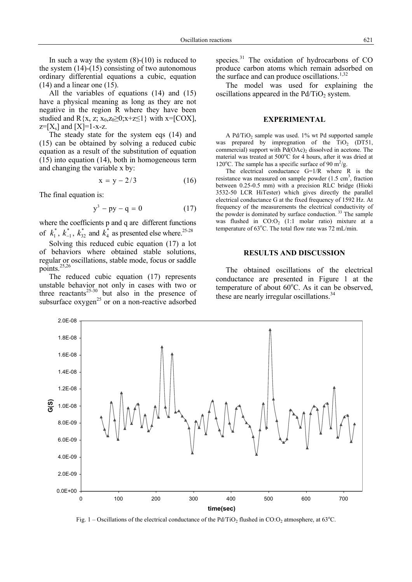All the variables of equations (14) and (15) have a physical meaning as long as they are not negative in the region R where they have been studied and  $R\{x, z; x_0, z_0 \geq 0; x+z \leq 1\}$  with  $x = [COX]$ ,  $z=[X_s]$  and  $[X]=1-x-z$ .

The steady state for the system eqs (14) and (15) can be obtained by solving a reduced cubic equation as a result of the substitution of equation (15) into equation (14), both in homogeneous term and changing the variable x by:

$$
x = y - 2/3 \tag{16}
$$

The final equation is:

$$
y^3 - py - q = 0 \tag{17}
$$

where the coefficients p and q are different functions of  $k_1^*$ ,  $k_{-1}^*$ ,  $k_{32}^*$  and  $k_4^*$  as presented else where.<sup>25-28</sup>

Solving this reduced cubic equation (17) a lot of behaviors where obtained stable solutions, regular or oscillations, stable mode, focus or saddle points. $25,26$ 

The reduced cubic equation (17) represents unstable behavior not only in cases with two or three reactants<sup>25-30</sup> but also in the presence of subsurface  $oxygen^{25}$  or on a non-reactive adsorbed species.<sup>31</sup> The oxidation of hydrocarbons of CO produce carbon atoms which remain adsorbed on the surface and can produce oscillations. $1,32$ 

The model was used for explaining the oscillations appeared in the  $Pd/TiO<sub>2</sub>$  system.

## **EXPERIMENTAL**

A Pd/TiO<sub>2</sub> sample was used.  $1\%$  wt Pd supported sample was prepared by impregnation of the  $TiO<sub>2</sub>$  (DT51, commercial) support with  $Pd(OAc)$ , dissolved in acetone. The material was treated at 500°C for 4 hours, after it was dried at 120 $^{\circ}$ C. The sample has a specific surface of 90 m<sup>2</sup>/g.

The electrical conductance  $G=1/R$  where  $R$  is the resistance was measured on sample powder  $(1.5 \text{ cm}^3, \text{fraction})$ between 0.25-0.5 mm) with a precision RLC bridge (Hioki 3532-50 LCR HiTester) which gives directly the parallel electrical conductance G at the fixed frequency of 1592 Hz. At frequency of the measurements the electrical conductivity of the powder is dominated by surface conduction.<sup>33</sup> The sample was flushed in  $CO:O<sub>2</sub>$  (1:1 molar ratio) mixture at a temperature of  $63^{\circ}$ C. The total flow rate was  $72$  mL/min.

# **RESULTS AND DISCUSSION**

The obtained oscillations of the electrical conductance are presented in Figure 1 at the temperature of about  $60^{\circ}$ C. As it can be observed, these are nearly irregular oscillations.<sup>34</sup>



Fig. 1 – Oscillations of the electrical conductance of the Pd/TiO<sub>2</sub> flushed in CO:O<sub>2</sub> atmosphere, at 63<sup>o</sup>C.